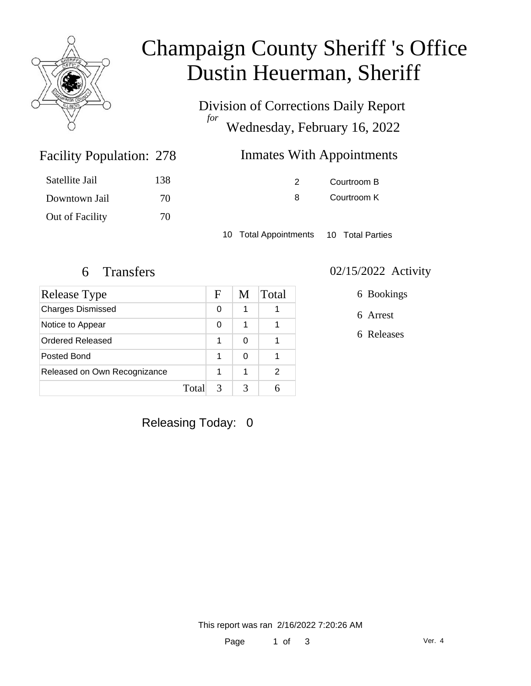

# Champaign County Sheriff 's Office Dustin Heuerman, Sheriff

Division of Corrections Daily Report *for* Wednesday, February 16, 2022

### Inmates With Appointments

| Satellite Jail  | 138 |
|-----------------|-----|
| Downtown Jail   | 70  |
| Out of Facility | 70  |

Facility Population: 278

2 Courtroom B 8 Courtroom K

10 Total Appointments 10 Total Parties

| Release Type                 |      | F | M | Total |
|------------------------------|------|---|---|-------|
| <b>Charges Dismissed</b>     |      | 0 | 1 |       |
| Notice to Appear             |      | 0 | 1 |       |
| <b>Ordered Released</b>      |      | 1 | 0 |       |
| Posted Bond                  |      | 1 | 0 |       |
| Released on Own Recognizance |      | 1 | 1 | 2     |
|                              | Tota |   |   |       |

#### 6 Transfers 02/15/2022 Activity

6 Bookings

6 Arrest

6 Releases

Releasing Today: 0

This report was ran 2/16/2022 7:20:26 AM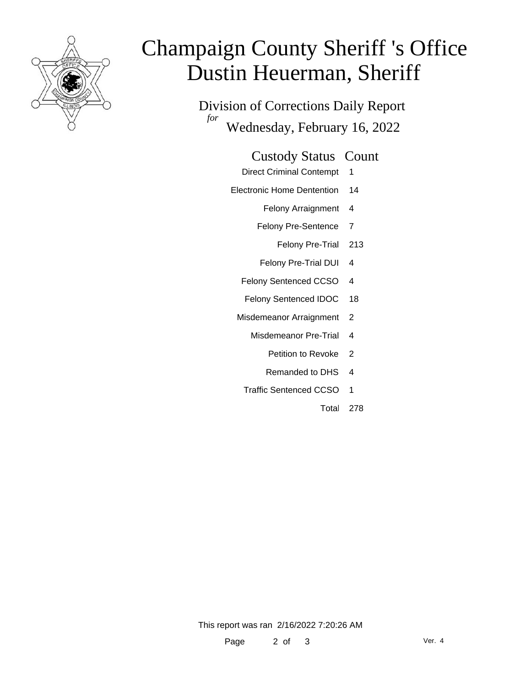

# Champaign County Sheriff 's Office Dustin Heuerman, Sheriff

Division of Corrections Daily Report *for* Wednesday, February 16, 2022

#### Custody Status Count

- Direct Criminal Contempt 1
- Electronic Home Dentention 14
	- Felony Arraignment 4
	- Felony Pre-Sentence 7
		- Felony Pre-Trial 213
	- Felony Pre-Trial DUI 4
	- Felony Sentenced CCSO 4
	- Felony Sentenced IDOC 18
	- Misdemeanor Arraignment 2
		- Misdemeanor Pre-Trial 4
			- Petition to Revoke 2
			- Remanded to DHS 4
		- Traffic Sentenced CCSO 1
			- Total 278

This report was ran 2/16/2022 7:20:26 AM